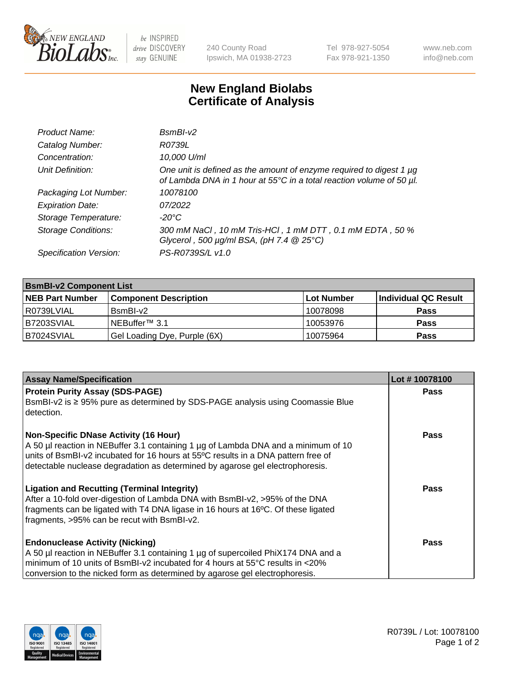

be INSPIRED drive DISCOVERY stay GENUINE

240 County Road Ipswich, MA 01938-2723 Tel 978-927-5054 Fax 978-921-1350 www.neb.com info@neb.com

## **New England Biolabs Certificate of Analysis**

| Product Name:              | $BsmBI-v2$                                                                                                                                  |
|----------------------------|---------------------------------------------------------------------------------------------------------------------------------------------|
| Catalog Number:            | R0739L                                                                                                                                      |
| Concentration:             | 10,000 U/ml                                                                                                                                 |
| Unit Definition:           | One unit is defined as the amount of enzyme required to digest 1 µg<br>of Lambda DNA in 1 hour at 55°C in a total reaction volume of 50 µl. |
| Packaging Lot Number:      | 10078100                                                                                                                                    |
| <b>Expiration Date:</b>    | 07/2022                                                                                                                                     |
| Storage Temperature:       | $-20^{\circ}$ C                                                                                                                             |
| <b>Storage Conditions:</b> | 300 mM NaCl, 10 mM Tris-HCl, 1 mM DTT, 0.1 mM EDTA, 50 %<br>Glycerol, 500 $\mu$ g/ml BSA, (pH 7.4 $@25°C$ )                                 |
| Specification Version:     | PS-R0739S/L v1.0                                                                                                                            |

| <b>BsmBI-v2 Component List</b> |                              |            |                      |  |
|--------------------------------|------------------------------|------------|----------------------|--|
| <b>NEB Part Number</b>         | <b>Component Description</b> | Lot Number | Individual QC Result |  |
| I R0739LVIAL                   | BsmBI-v2                     | 10078098   | <b>Pass</b>          |  |
| B7203SVIAL                     | INEBuffer™ 3.1               | 10053976   | <b>Pass</b>          |  |
| B7024SVIAL                     | Gel Loading Dye, Purple (6X) | 10075964   | <b>Pass</b>          |  |

| <b>Assay Name/Specification</b>                                                                                                                                    | Lot #10078100 |
|--------------------------------------------------------------------------------------------------------------------------------------------------------------------|---------------|
| <b>Protein Purity Assay (SDS-PAGE)</b>                                                                                                                             | <b>Pass</b>   |
| BsmBI-v2 is ≥ 95% pure as determined by SDS-PAGE analysis using Coomassie Blue<br>l detection.                                                                     |               |
| <b>Non-Specific DNase Activity (16 Hour)</b>                                                                                                                       | Pass          |
| A 50 µl reaction in NEBuffer 3.1 containing 1 µg of Lambda DNA and a minimum of 10                                                                                 |               |
| units of BsmBI-v2 incubated for 16 hours at 55°C results in a DNA pattern free of<br>detectable nuclease degradation as determined by agarose gel electrophoresis. |               |
|                                                                                                                                                                    |               |
| <b>Ligation and Recutting (Terminal Integrity)</b>                                                                                                                 | Pass          |
| After a 10-fold over-digestion of Lambda DNA with BsmBI-v2, >95% of the DNA<br>fragments can be ligated with T4 DNA ligase in 16 hours at 16°C. Of these ligated   |               |
| fragments, >95% can be recut with BsmBI-v2.                                                                                                                        |               |
|                                                                                                                                                                    |               |
| <b>Endonuclease Activity (Nicking)</b>                                                                                                                             | Pass          |
| A 50 µl reaction in NEBuffer 3.1 containing 1 µg of supercoiled PhiX174 DNA and a                                                                                  |               |
| minimum of 10 units of BsmBI-v2 incubated for 4 hours at 55°C results in <20%                                                                                      |               |
| conversion to the nicked form as determined by agarose gel electrophoresis.                                                                                        |               |